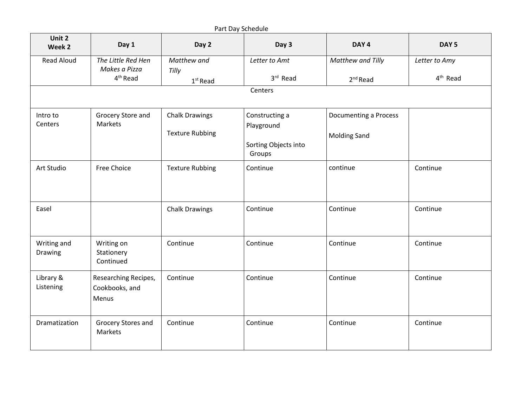| Part Day Schedule      |                                                             |                                    |                                |                                 |                             |  |  |  |
|------------------------|-------------------------------------------------------------|------------------------------------|--------------------------------|---------------------------------|-----------------------------|--|--|--|
| Unit 2<br>Week 2       | Day 1                                                       | Day 2                              | Day 3                          | DAY <sub>4</sub>                | DAY <sub>5</sub>            |  |  |  |
| <b>Read Aloud</b>      | The Little Red Hen<br>Makes a Pizza<br>4 <sup>th</sup> Read | Matthew and<br>Tilly<br>$1st$ Read | Letter to Amt<br>3rd Read      | Matthew and Tilly<br>$2nd$ Read | Letter to Amy<br>$4th$ Read |  |  |  |
|                        |                                                             |                                    | Centers                        |                                 |                             |  |  |  |
|                        |                                                             |                                    |                                |                                 |                             |  |  |  |
| Intro to<br>Centers    | Grocery Store and<br>Markets                                | <b>Chalk Drawings</b>              | Constructing a<br>Playground   | Documenting a Process           |                             |  |  |  |
|                        |                                                             | <b>Texture Rubbing</b>             | Sorting Objects into<br>Groups | <b>Molding Sand</b>             |                             |  |  |  |
| Art Studio             | <b>Free Choice</b>                                          | <b>Texture Rubbing</b>             | Continue                       | continue                        | Continue                    |  |  |  |
| Easel                  |                                                             | <b>Chalk Drawings</b>              | Continue                       | Continue                        | Continue                    |  |  |  |
| Writing and<br>Drawing | Writing on<br>Stationery<br>Continued                       | Continue                           | Continue                       | Continue                        | Continue                    |  |  |  |
| Library &<br>Listening | Researching Recipes,<br>Cookbooks, and<br>Menus             | Continue                           | Continue                       | Continue                        | Continue                    |  |  |  |
| Dramatization          | Grocery Stores and<br>Markets                               | Continue                           | Continue                       | Continue                        | Continue                    |  |  |  |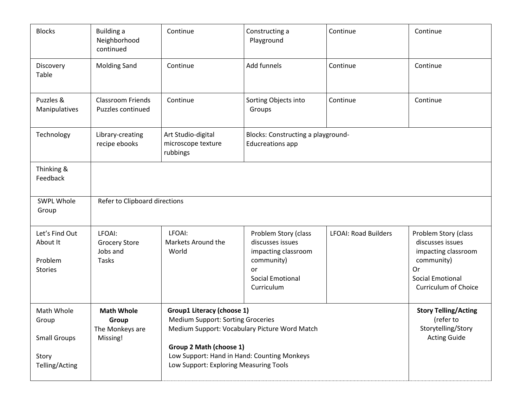| <b>Blocks</b>                                                         | <b>Building a</b><br>Neighborhood<br>continued             | Continue                                                                                                                                                                                                                                           | Constructing a<br>Playground                                                                                                 | Continue                    | Continue                                                                                                                                      |  |
|-----------------------------------------------------------------------|------------------------------------------------------------|----------------------------------------------------------------------------------------------------------------------------------------------------------------------------------------------------------------------------------------------------|------------------------------------------------------------------------------------------------------------------------------|-----------------------------|-----------------------------------------------------------------------------------------------------------------------------------------------|--|
| Discovery<br>Table                                                    | <b>Molding Sand</b>                                        | Continue                                                                                                                                                                                                                                           | Add funnels                                                                                                                  | Continue                    | Continue                                                                                                                                      |  |
| Puzzles &<br>Manipulatives                                            | <b>Classroom Friends</b><br>Puzzles continued              | Continue                                                                                                                                                                                                                                           | Sorting Objects into<br>Groups                                                                                               | Continue                    | Continue                                                                                                                                      |  |
| Technology                                                            | Library-creating<br>recipe ebooks                          | Art Studio-digital<br>microscope texture<br>rubbings                                                                                                                                                                                               | Blocks: Constructing a playground-<br><b>Educreations app</b>                                                                |                             |                                                                                                                                               |  |
| Thinking &<br>Feedback                                                |                                                            |                                                                                                                                                                                                                                                    |                                                                                                                              |                             |                                                                                                                                               |  |
| SWPL Whole<br>Group                                                   | Refer to Clipboard directions                              |                                                                                                                                                                                                                                                    |                                                                                                                              |                             |                                                                                                                                               |  |
| Let's Find Out<br>About It<br>Problem<br><b>Stories</b>               | LFOAI:<br><b>Grocery Store</b><br>Jobs and<br><b>Tasks</b> | LFOAI:<br>Markets Around the<br>World                                                                                                                                                                                                              | Problem Story (class<br>discusses issues<br>impacting classroom<br>community)<br>or<br><b>Social Emotional</b><br>Curriculum | <b>LFOAI: Road Builders</b> | Problem Story (class<br>discusses issues<br>impacting classroom<br>community)<br>Or<br><b>Social Emotional</b><br><b>Curriculum of Choice</b> |  |
| Math Whole<br>Group<br><b>Small Groups</b><br>Story<br>Telling/Acting | <b>Math Whole</b><br>Group<br>The Monkeys are<br>Missing!  | <b>Group1 Literacy (choose 1)</b><br><b>Medium Support: Sorting Groceries</b><br>Medium Support: Vocabulary Picture Word Match<br>Group 2 Math (choose 1)<br>Low Support: Hand in Hand: Counting Monkeys<br>Low Support: Exploring Measuring Tools |                                                                                                                              |                             | <b>Story Telling/Acting</b><br>(refer to<br>Storytelling/Story<br><b>Acting Guide</b>                                                         |  |